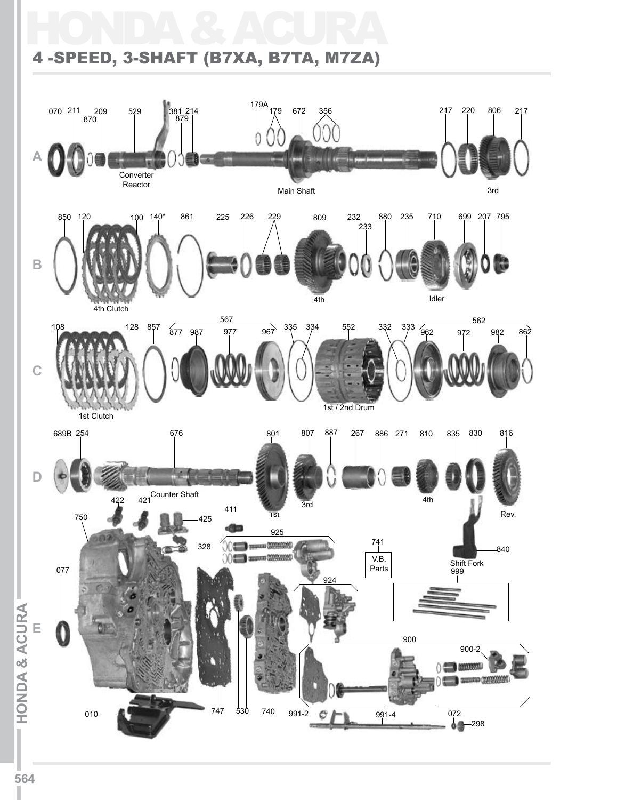## HONDA & ACURA 4 -SPEED, 3-SHAFT (B7XA, B7TA, M7ZA)